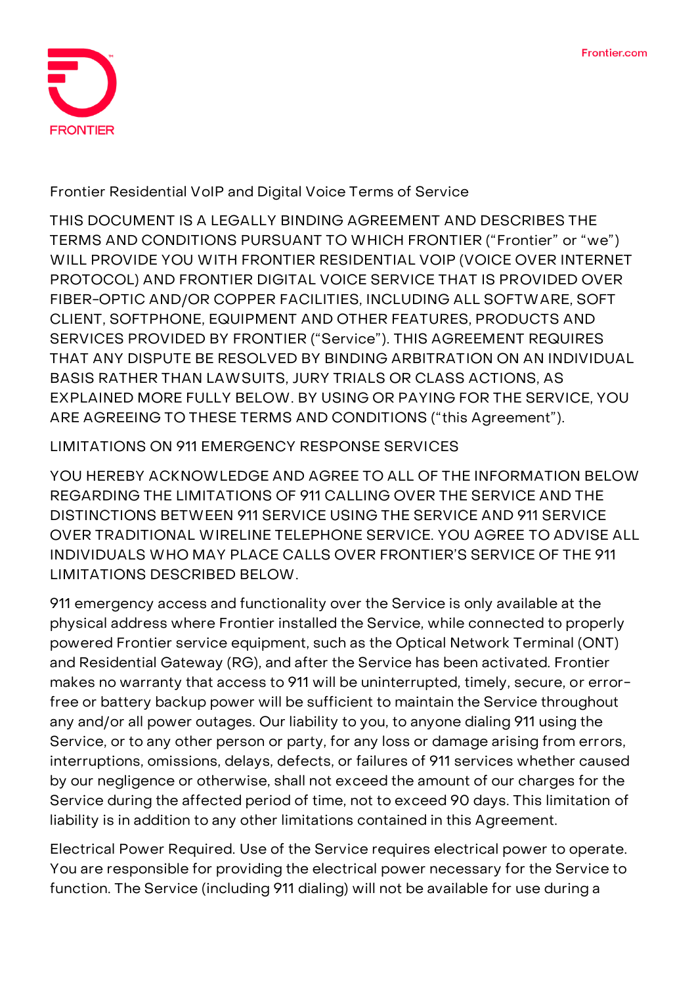

**Frontier Residential VoIP and Digital Voice Terms of Service**

THIS DOCUMENT IS A LEGALLY BINDING AGREEMENT AND DESCRIBES THE TERMS AND CONDITIONS PURSUANT TO WHICH FRONTIER ("Frontier" or "we") WILL PROVIDE YOU WITH FRONTIER RESIDENTIAL VOIP (VOICE OVER INTERNET PROTOCOL) AND FRONTIER DIGITAL VOICE SERVICE THAT IS PROVIDED OVER FIBER-OPTIC AND/OR COPPER FACILITIES, INCLUDING ALL SOFTWARE, SOFT CLIENT, SOFTPHONE, EQUIPMENT AND OTHER FEATURES, PRODUCTS AND SERVICES PROVIDED BY FRONTIER ("Service"). **THIS AGREEMENT REQUIRES THAT ANY DISPUTE BE RESOLVED BY BINDING ARBITRATION ON AN INDIVIDUAL BASIS RATHER THAN LAWSUITS, JURY TRIALS OR CLASS ACTIONS, AS EXPLAINED MORE FULLY BELOW. BY USING OR PAYING FOR THE SERVICE, YOU ARE AGREEING TO THESE TERMS AND CONDITIONS ("this Agreement").**

# **LIMITATIONS ON 911 EMERGENCY RESPONSE SERVICES**

YOU HEREBY ACKNOWLEDGE AND AGREE TO ALL OF THE INFORMATION BELOW REGARDING THE LIMITATIONS OF 911 CALLING OVER THE SERVICE AND THE DISTINCTIONS BETWEEN 911 SERVICE USING THE SERVICE AND 911 SERVICE OVER TRADITIONAL WIRELINE TELEPHONE SERVICE. YOU AGREE TO ADVISE ALL INDIVIDUALS WHO MAY PLACE CALLS OVER FRONTIER'S SERVICE OF THE 911 LIMITATIONS DESCRIBED BELOW.

911 emergency access and functionality over the Service is only available at the physical address where Frontier installed the Service, while connected to properly powered Frontier service equipment, such as the Optical Network Terminal (ONT) and Residential Gateway (RG), and after the Service has been activated. Frontier makes no warranty that access to 911 will be uninterrupted, timely, secure, or errorfree or battery backup power will be sufficient to maintain the Service throughout any and/or all power outages. Our liability to you, to anyone dialing 911 using the Service, or to any other person or party, for any loss or damage arising from errors, interruptions, omissions, delays, defects, or failures of 911 services whether caused by our negligence or otherwise, shall not exceed the amount of our charges for the Service during the affected period of time, not to exceed 90 days. This limitation of liability is in addition to any other limitations contained in this Agreement.

**Electrical Power Required.** Use of the Service requires electrical power to operate. You are responsible for providing the electrical power necessary for the Service to function. The Service (including 911 dialing) will not be available for use during a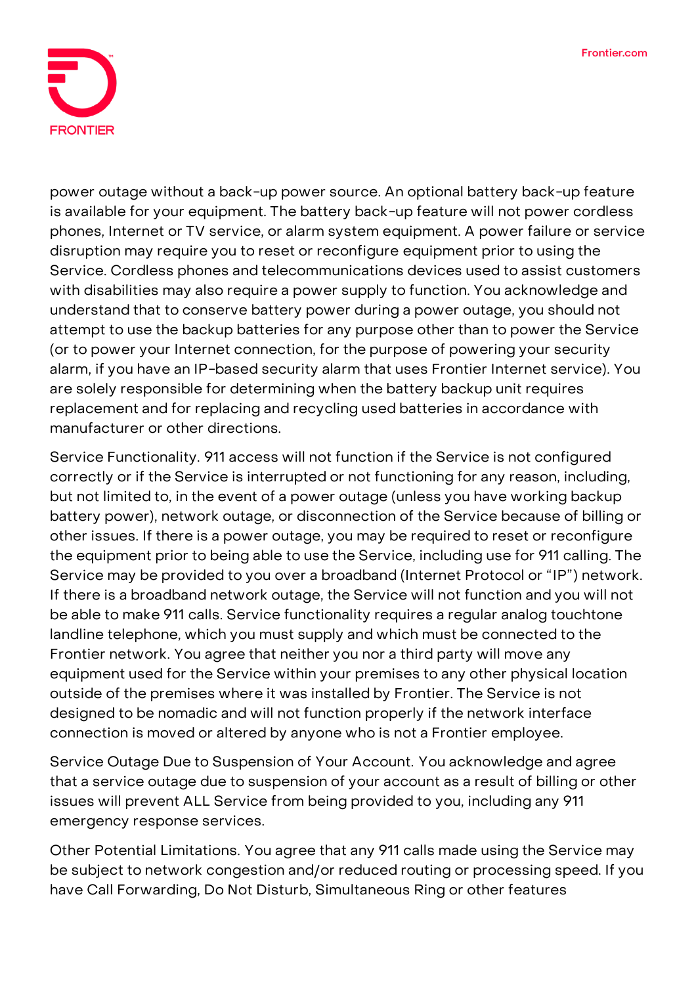

power outage without a back-up power source. An optional battery back-up feature is available for your equipment. The battery back-up feature will not power cordless phones, Internet or TV service, or alarm system equipment. A power failure or service disruption may require you to reset or reconfigure equipment prior to using the Service. Cordless phones and telecommunications devices used to assist customers with disabilities may also require a power supply to function. You acknowledge and understand that to conserve battery power during a power outage, you should not attempt to use the backup batteries for any purpose other than to power the Service (or to power your Internet connection, for the purpose of powering your security alarm, if you have an IP-based security alarm that uses Frontier Internet service). You are solely responsible for determining when the battery backup unit requires replacement and for replacing and recycling used batteries in accordance with manufacturer or other directions.

**Service Functionality.** 911 access will not function if the Service is not configured correctly or if the Service is interrupted or not functioning for any reason, including, but not limited to, in the event of a power outage (unless you have working backup battery power), network outage, or disconnection of the Service because of billing or other issues. If there is a power outage, you may be required to reset or reconfigure the equipment prior to being able to use the Service, including use for 911 calling. The Service may be provided to you over a broadband (Internet Protocol or "IP") network. If there is a broadband network outage, the Service will not function and you will not be able to make 911 calls. Service functionality requires a regular analog touchtone landline telephone, which you must supply and which must be connected to the Frontier network. You agree that neither you nor a third party will move any equipment used for the Service within your premises to any other physical location outside of the premises where it was installed by Frontier. The Service is not designed to be nomadic and will not function properly if the network interface connection is moved or altered by anyone who is not a Frontier employee.

**Service Outage Due to Suspension of Your Account.** You acknowledge and agree that a service outage due to suspension of your account as a result of billing or other issues will prevent ALL Service from being provided to you, including any 911 emergency response services.

**Other Potential Limitations.** You agree that any 911 calls made using the Service may be subject to network congestion and/or reduced routing or processing speed. If you have Call Forwarding, Do Not Disturb, Simultaneous Ring or other features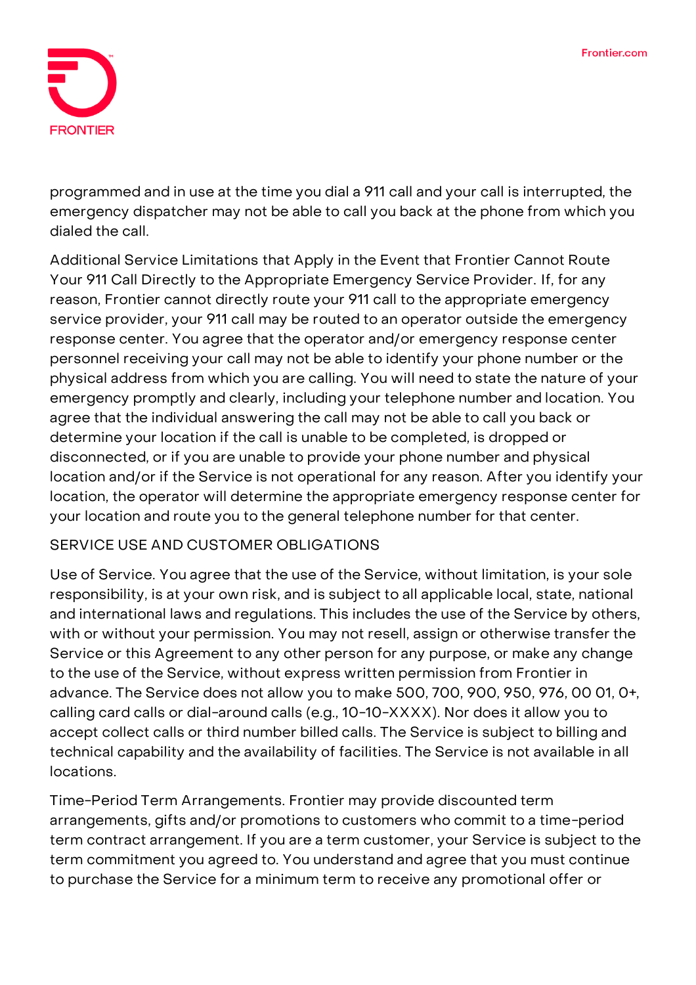

programmed and in use at the time you dial a 911 call and your call is interrupted, the emergency dispatcher may not be able to call you back at the phone from which you dialed the call.

**Additional Service Limitations that Apply in the Event that Frontier Cannot Route Your 911 Call Directly to the Appropriate Emergency Service Provider.** If, for any reason, Frontier cannot directly route your 911 call to the appropriate emergency service provider, your 911 call may be routed to an operator outside the emergency response center. You agree that the operator and/or emergency response center personnel receiving your call may not be able to identify your phone number or the physical address from which you are calling. You will need to state the nature of your emergency promptly and clearly, including your telephone number and location. You agree that the individual answering the call may not be able to call you back or determine your location if the call is unable to be completed, is dropped or disconnected, or if you are unable to provide your phone number and physical location and/or if the Service is not operational for any reason. After you identify your location, the operator will determine the appropriate emergency response center for your location and route you to the general telephone number for that center.

# **SERVICE USE AND CUSTOMER OBLIGATIONS**

**Use of Service.** You agree that the use of the Service, without limitation, is your sole responsibility, is at your own risk, and is subject to all applicable local, state, national and international laws and regulations. This includes the use of the Service by others, with or without your permission. You may not resell, assign or otherwise transfer the Service or this Agreement to any other person for any purpose, or make any change to the use of the Service, without express written permission from Frontier in advance. The Service does not allow you to make 500, 700, 900, 950, 976, 00 01, 0+, calling card calls or dial-around calls (e.g., 10-10-XXXX). Nor does it allow you to accept collect calls or third number billed calls. The Service is subject to billing and technical capability and the availability of facilities. The Service is not available in all locations.

**Time-Period Term Arrangements.** Frontier may provide discounted term arrangements, gifts and/or promotions to customers who commit to a time-period term contract arrangement. If you are a term customer, your Service is subject to the term commitment you agreed to. You understand and agree that you must continue to purchase the Service for a minimum term to receive any promotional offer or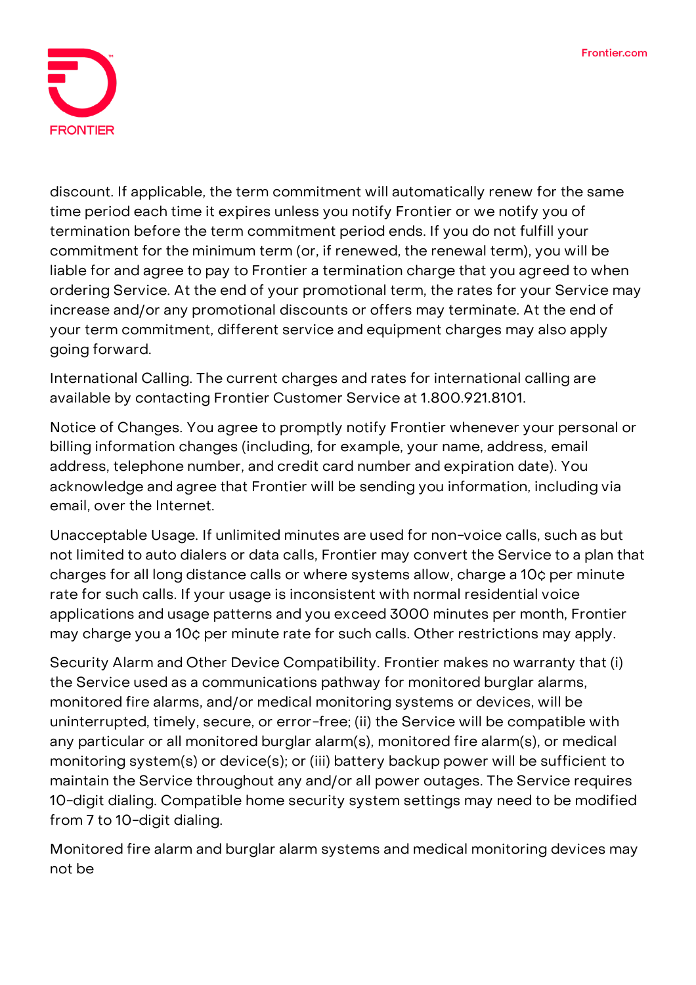

discount. If applicable, the term commitment will automatically renew for the same time period each time it expires unless you notify Frontier or we notify you of termination before the term commitment period ends. If you do not fulfill your commitment for the minimum term (or, if renewed, the renewal term), you will be liable for and agree to pay to Frontier a termination charge that you agreed to when ordering Service. At the end of your promotional term, the rates for your Service may increase and/or any promotional discounts or offers may terminate. At the end of your term commitment, different service and equipment charges may also apply going forward.

**International Calling.** The current charges and rates for international calling are available by contacting Frontier Customer Service at 1.800.921.8101.

**Notice of Changes.** You agree to promptly notify Frontier whenever your personal or billing information changes (including, for example, your name, address, email address, telephone number, and credit card number and expiration date). You acknowledge and agree that Frontier will be sending you information, including via email, over the Internet.

**Unacceptable Usage.** If unlimited minutes are used for non-voice calls, such as but not limited to auto dialers or data calls, Frontier may convert the Service to a plan that charges for all long distance calls or where systems allow, charge a 10¢ per minute rate for such calls. If your usage is inconsistent with normal residential voice applications and usage patterns and you exceed 3000 minutes per month, Frontier may charge you a 10¢ per minute rate for such calls. Other restrictions may apply.

Security Alarm and Other Device Compatibility. Frontier makes no warranty that (i) the Service used as a communications pathway for monitored burglar alarms, monitored fire alarms, and/or medical monitoring systems or devices, will be uninterrupted, timely, secure, or error-free; (ii) the Service will be compatible with any particular or all monitored burglar alarm(s), monitored fire alarm(s), or medical monitoring system(s) or device(s); or (iii) battery backup power will be sufficient to maintain the Service throughout any and/or all power outages. The Service requires 10-digit dialing. Compatible home security system settings may need to be modified from 7 to 10-digit dialing.

Monitored fire alarm and burglar alarm systems and medical monitoring devices may not be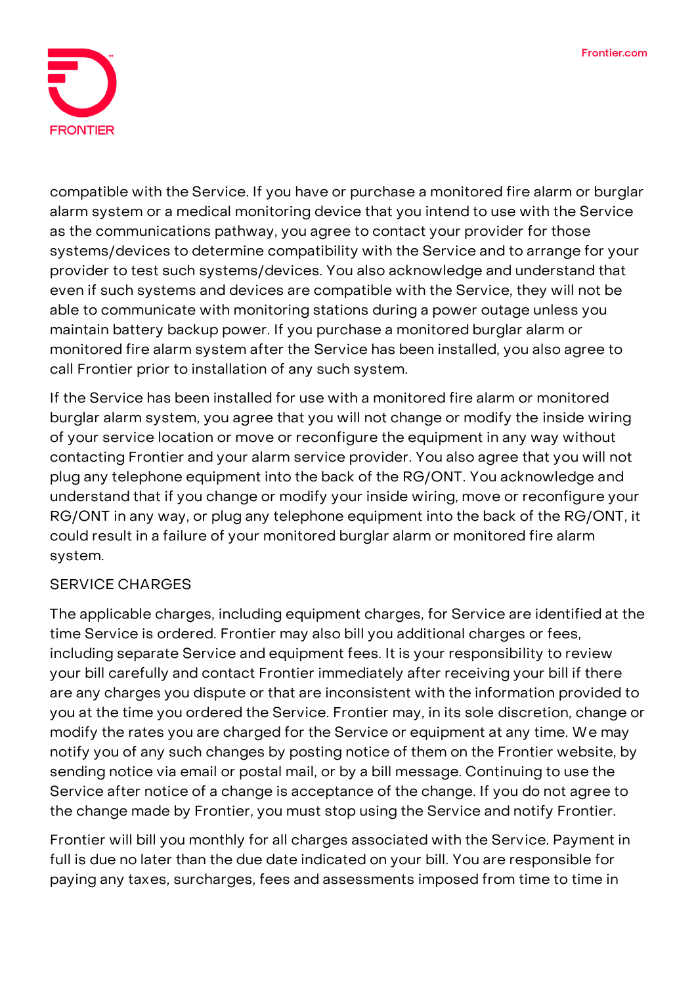

compatible with the Service. If you have or purchase a monitored fire alarm or burglar alarm system or a medical monitoring device that you intend to use with the Service as the communications pathway, you agree to contact your provider for those systems/devices to determine compatibility with the Service and to arrange for your provider to test such systems/devices. You also acknowledge and understand that even if such systems and devices are compatible with the Service, they will not be able to communicate with monitoring stations during a power outage unless you maintain battery backup power. If you purchase a monitored burglar alarm or monitored fire alarm system after the Service has been installed, you also agree to call Frontier prior to installation of any such system.

If the Service has been installed for use with a monitored fire alarm or monitored burglar alarm system, you agree that you will not change or modify the inside wiring of your service location or move or reconfigure the equipment in any way without contacting Frontier and your alarm service provider. You also agree that you will not plug any telephone equipment into the back of the RG/ONT. You acknowledge and understand that if you change or modify your inside wiring, move or reconfigure your RG/ONT in any way, or plug any telephone equipment into the back of the RG/ONT, it could result in a failure of your monitored burglar alarm or monitored fire alarm system.

# **SERVICE CHARGES**

The applicable charges, including equipment charges, for Service are identified at the time Service is ordered. Frontier may also bill you additional charges or fees, including separate Service and equipment fees. It is your responsibility to review your bill carefully and contact Frontier immediately after receiving your bill if there are any charges you dispute or that are inconsistent with the information provided to you at the time you ordered the Service. Frontier may, in its sole discretion, change or modify the rates you are charged for the Service or equipment at any time. We may notify you of any such changes by posting notice of them on the Frontier website, by sending notice via email or postal mail, or by a bill message. Continuing to use the Service after notice of a change is acceptance of the change. If you do not agree to the change made by Frontier, you must stop using the Service and notify Frontier.

Frontier will bill you monthly for all charges associated with the Service. Payment in full is due no later than the due date indicated on your bill. You are responsible for paying any taxes, surcharges, fees and assessments imposed from time to time in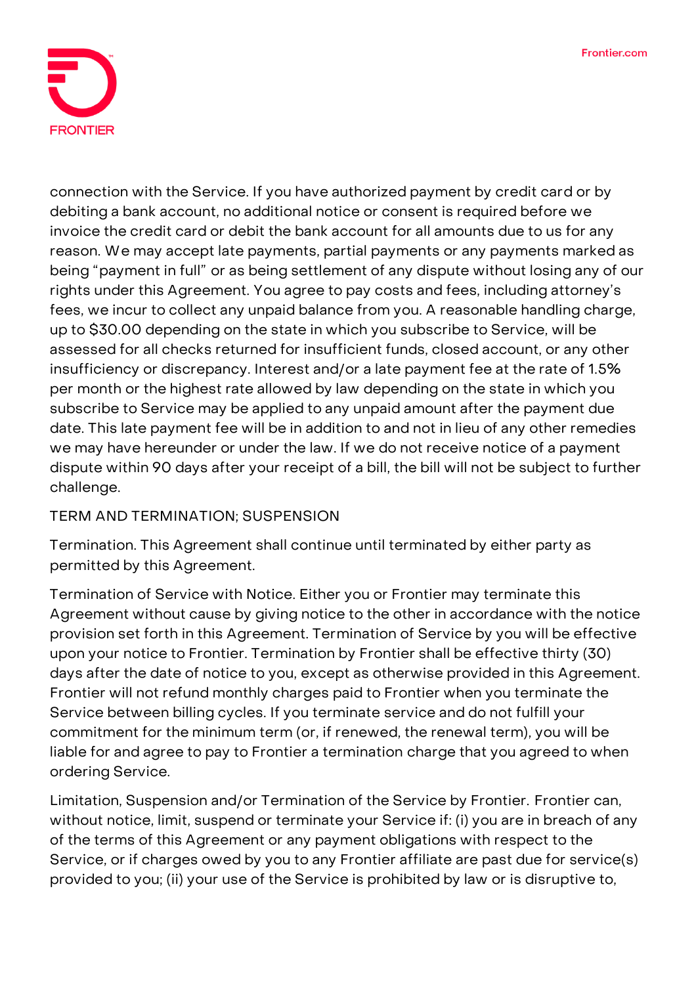

connection with the Service. If you have authorized payment by credit card or by debiting a bank account, no additional notice or consent is required before we invoice the credit card or debit the bank account for all amounts due to us for any reason. We may accept late payments, partial payments or any payments marked as being "payment in full" or as being settlement of any dispute without losing any of our rights under this Agreement. You agree to pay costs and fees, including attorney's fees, we incur to collect any unpaid balance from you. A reasonable handling charge, up to \$30.00 depending on the state in which you subscribe to Service, will be assessed for all checks returned for insufficient funds, closed account, or any other insufficiency or discrepancy. Interest and/or a late payment fee at the rate of 1.5% per month or the highest rate allowed by law depending on the state in which you subscribe to Service may be applied to any unpaid amount after the payment due date. This late payment fee will be in addition to and not in lieu of any other remedies we may have hereunder or under the law. If we do not receive notice of a payment dispute within 90 days after your receipt of a bill, the bill will not be subject to further challenge.

**TERM AND TERMINATION; SUSPENSION**

**Termination.** This Agreement shall continue until terminated by either party as permitted by this Agreement.

Termination of Service with Notice. Either you or Frontier may terminate this Agreement without cause by giving notice to the other in accordance with the notice provision set forth in this Agreement. Termination of Service by you will be effective upon your notice to Frontier. Termination by Frontier shall be effective thirty (30) days after the date of notice to you, except as otherwise provided in this Agreement. Frontier will not refund monthly charges paid to Frontier when you terminate the Service between billing cycles. If you terminate service and do not fulfill your commitment for the minimum term (or, if renewed, the renewal term), you will be liable for and agree to pay to Frontier a termination charge that you agreed to when ordering Service.

**Limitation, Suspension and/or Termination of the Service by Frontier.** Frontier can, without notice, limit, suspend or terminate your Service if: (i) you are in breach of any of the terms of this Agreement or any payment obligations with respect to the Service, or if charges owed by you to any Frontier affiliate are past due for service(s) provided to you; (ii) your use of the Service is prohibited by law or is disruptive to,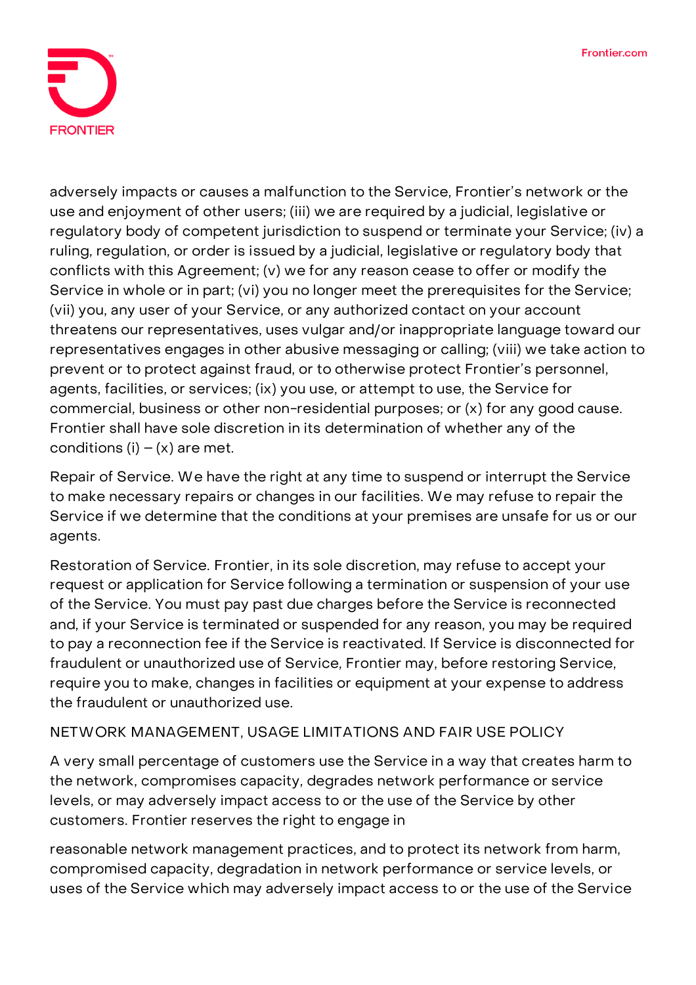

adversely impacts or causes a malfunction to the Service, Frontier's network or the use and enjoyment of other users; (iii) we are required by a judicial, legislative or regulatory body of competent jurisdiction to suspend or terminate your Service; (iv) a ruling, regulation, or order is issued by a judicial, legislative or regulatory body that conflicts with this Agreement; (v) we for any reason cease to offer or modify the Service in whole or in part; (vi) you no longer meet the prerequisites for the Service; (vii) you, any user of your Service, or any authorized contact on your account threatens our representatives, uses vulgar and/or inappropriate language toward our representatives engages in other abusive messaging or calling; (viii) we take action to prevent or to protect against fraud, or to otherwise protect Frontier's personnel, agents, facilities, or services; (ix) you use, or attempt to use, the Service for commercial, business or other non-residential purposes; or (x) for any good cause. Frontier shall have sole discretion in its determination of whether any of the conditions  $(i) - (x)$  are met.

**Repair of Service.** We have the right at any time to suspend or interrupt the Service to make necessary repairs or changes in our facilities. We may refuse to repair the Service if we determine that the conditions at your premises are unsafe for us or our agents.

**Restoration of Service.** Frontier, in its sole discretion, may refuse to accept your request or application for Service following a termination or suspension of your use of the Service. You must pay past due charges before the Service is reconnected and, if your Service is terminated or suspended for any reason, you may be required to pay a reconnection fee if the Service is reactivated. If Service is disconnected for fraudulent or unauthorized use of Service, Frontier may, before restoring Service, require you to make, changes in facilities or equipment at your expense to address the fraudulent or unauthorized use.

# **NETWORK MANAGEMENT, USAGE LIMITATIONS AND FAIR USE POLICY**

A very small percentage of customers use the Service in a way that creates harm to the network, compromises capacity, degrades network performance or service levels, or may adversely impact access to or the use of the Service by other customers. Frontier reserves the right to engage in

reasonable network management practices, and to protect its network from harm, compromised capacity, degradation in network performance or service levels, or uses of the Service which may adversely impact access to or the use of the Service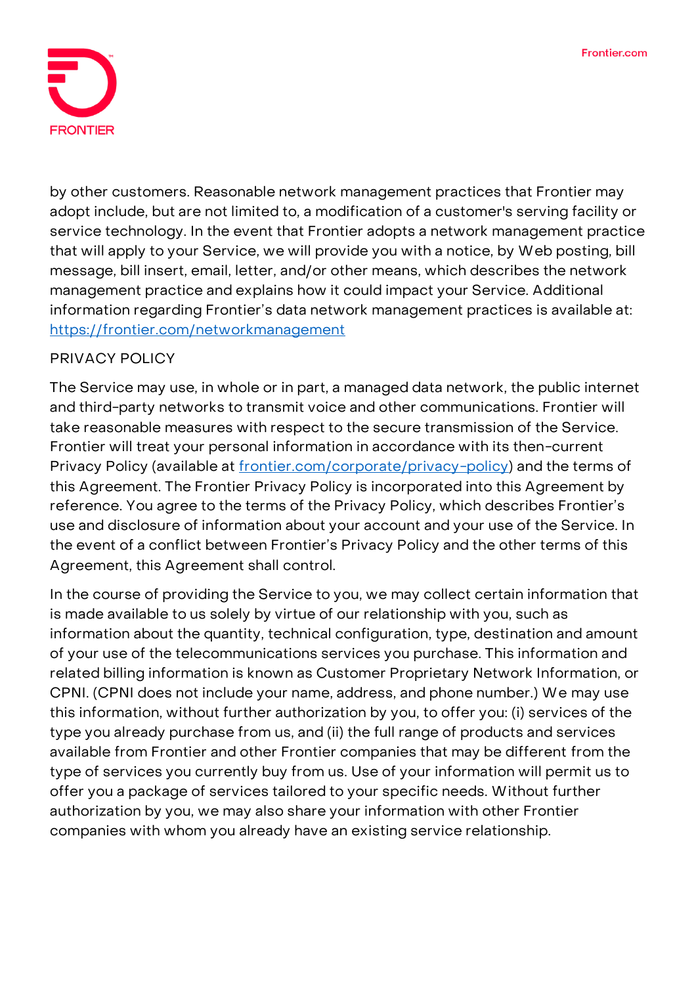

by other customers. Reasonable network management practices that Frontier may adopt include, but are not limited to, a modification of a customer's serving facility or service technology. In the event that Frontier adopts a network management practice that will apply to your Service, we will provide you with a notice, by Web posting, bill message, bill insert, email, letter, and/or other means, which describes the network management practice and explains how it could impact your Service. Additional information regarding Frontier's data network management practices is available at: <https://frontier.com/networkmanagement>

# **PRIVACY POLICY**

The Service may use, in whole or in part, a managed data network, the public internet and third-party networks to transmit voice and other communications. Frontier will take reasonable measures with respect to the secure transmission of the Service. Frontier will treat your personal information in accordance with its then-current Privacy Policy (available at [frontier.com/corporate/privacy-policy\)](https://frontier.com/corporate/privacy-policy) and the terms of this Agreement. The Frontier Privacy Policy is incorporated into this Agreement by reference. You agree to the terms of the Privacy Policy, which describes Frontier's use and disclosure of information about your account and your use of the Service. In the event of a conflict between Frontier's Privacy Policy and the other terms of this Agreement, this Agreement shall control.

In the course of providing the Service to you, we may collect certain information that is made available to us solely by virtue of our relationship with you, such as information about the quantity, technical configuration, type, destination and amount of your use of the telecommunications services you purchase. This information and related billing information is known as Customer Proprietary Network Information, or CPNI. (CPNI does not include your name, address, and phone number.) We may use this information, without further authorization by you, to offer you: (i) services of the type you already purchase from us, and (ii) the full range of products and services available from Frontier and other Frontier companies that may be different from the type of services you currently buy from us. Use of your information will permit us to offer you a package of services tailored to your specific needs. Without further authorization by you, we may also share your information with other Frontier companies with whom you already have an existing service relationship.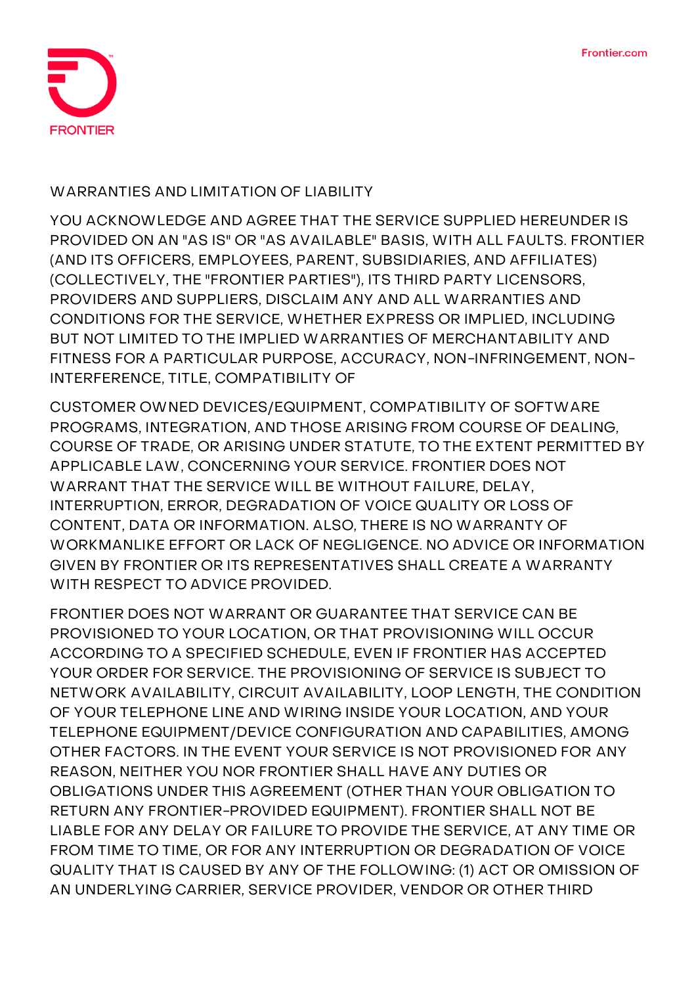

### **WARRANTIES AND LIMITATION OF LIABILITY**

**YOU ACKNOWLEDGE AND AGREE THAT THE SERVICE SUPPLIED HEREUNDER IS PROVIDED ON AN "AS IS" OR "AS AVAILABLE" BASIS, WITH ALL FAULTS. FRONTIER (AND ITS OFFICERS, EMPLOYEES, PARENT, SUBSIDIARIES, AND AFFILIATES) (COLLECTIVELY, THE "FRONTIER PARTIES"), ITS THIRD PARTY LICENSORS, PROVIDERS AND SUPPLIERS, DISCLAIM ANY AND ALL WARRANTIES AND CONDITIONS FOR THE SERVICE, WHETHER EXPRESS OR IMPLIED, INCLUDING BUT NOT LIMITED TO THE IMPLIED WARRANTIES OF MERCHANTABILITY AND FITNESS FOR A PARTICULAR PURPOSE, ACCURACY, NON-INFRINGEMENT, NON-INTERFERENCE, TITLE, COMPATIBILITY OF**

**CUSTOMER OWNED DEVICES/EQUIPMENT, COMPATIBILITY OF SOFTWARE PROGRAMS, INTEGRATION, AND THOSE ARISING FROM COURSE OF DEALING, COURSE OF TRADE, OR ARISING UNDER STATUTE, TO THE EXTENT PERMITTED BY APPLICABLE LAW, CONCERNING YOUR SERVICE. FRONTIER DOES NOT WARRANT THAT THE SERVICE WILL BE WITHOUT FAILURE, DELAY, INTERRUPTION, ERROR, DEGRADATION OF VOICE QUALITY OR LOSS OF CONTENT, DATA OR INFORMATION. ALSO, THERE IS NO WARRANTY OF WORKMANLIKE EFFORT OR LACK OF NEGLIGENCE. NO ADVICE OR INFORMATION GIVEN BY FRONTIER OR ITS REPRESENTATIVES SHALL CREATE A WARRANTY WITH RESPECT TO ADVICE PROVIDED.**

**FRONTIER DOES NOT WARRANT OR GUARANTEE THAT SERVICE CAN BE PROVISIONED TO YOUR LOCATION, OR THAT PROVISIONING WILL OCCUR ACCORDING TO A SPECIFIED SCHEDULE, EVEN IF FRONTIER HAS ACCEPTED YOUR ORDER FOR SERVICE. THE PROVISIONING OF SERVICE IS SUBJECT TO NETWORK AVAILABILITY, CIRCUIT AVAILABILITY, LOOP LENGTH, THE CONDITION OF YOUR TELEPHONE LINE AND WIRING INSIDE YOUR LOCATION, AND YOUR TELEPHONE EQUIPMENT/DEVICE CONFIGURATION AND CAPABILITIES, AMONG OTHER FACTORS. IN THE EVENT YOUR SERVICE IS NOT PROVISIONED FOR ANY REASON, NEITHER YOU NOR FRONTIER SHALL HAVE ANY DUTIES OR OBLIGATIONS UNDER THIS AGREEMENT (OTHER THAN YOUR OBLIGATION TO RETURN ANY FRONTIER-PROVIDED EQUIPMENT). FRONTIER SHALL NOT BE LIABLE FOR ANY DELAY OR FAILURE TO PROVIDE THE SERVICE, AT ANY TIME OR FROM TIME TO TIME, OR FOR ANY INTERRUPTION OR DEGRADATION OF VOICE QUALITY THAT IS CAUSED BY ANY OF THE FOLLOWING: (1) ACT OR OMISSION OF AN UNDERLYING CARRIER, SERVICE PROVIDER, VENDOR OR OTHER THIRD**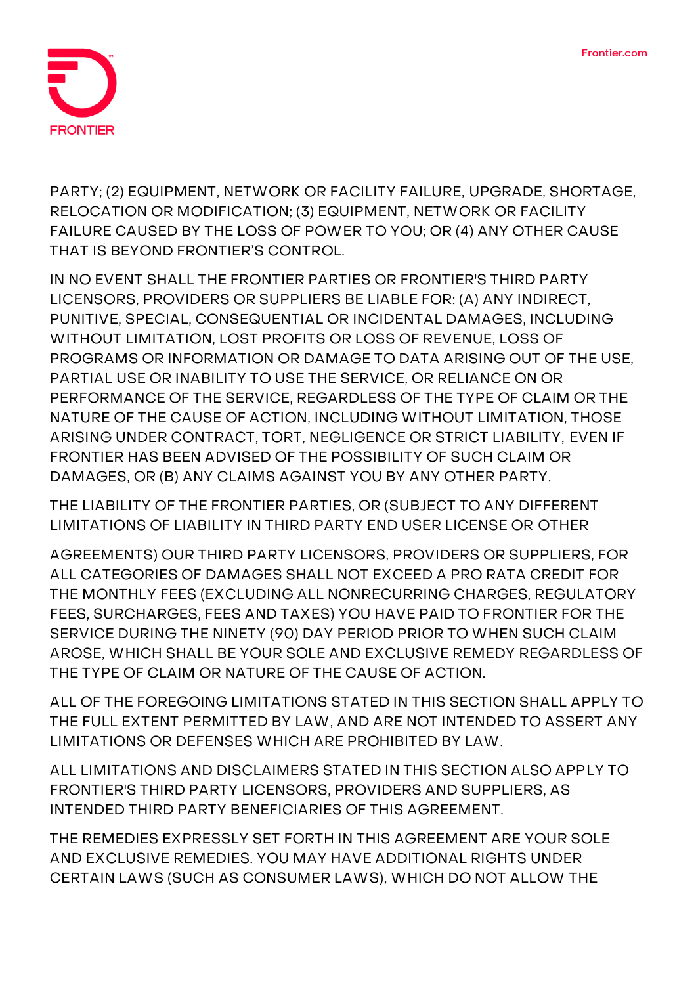

**PARTY; (2) EQUIPMENT, NETWORK OR FACILITY FAILURE, UPGRADE, SHORTAGE, RELOCATION OR MODIFICATION; (3) EQUIPMENT, NETWORK OR FACILITY FAILURE CAUSED BY THE LOSS OF POWER TO YOU; OR (4) ANY OTHER CAUSE THAT IS BEYOND FRONTIER'S CONTROL.**

**IN NO EVENT SHALL THE FRONTIER PARTIES OR FRONTIER'S THIRD PARTY LICENSORS, PROVIDERS OR SUPPLIERS BE LIABLE FOR: (A) ANY INDIRECT, PUNITIVE, SPECIAL, CONSEQUENTIAL OR INCIDENTAL DAMAGES, INCLUDING WITHOUT LIMITATION, LOST PROFITS OR LOSS OF REVENUE, LOSS OF PROGRAMS OR INFORMATION OR DAMAGE TO DATA ARISING OUT OF THE USE, PARTIAL USE OR INABILITY TO USE THE SERVICE, OR RELIANCE ON OR PERFORMANCE OF THE SERVICE, REGARDLESS OF THE TYPE OF CLAIM OR THE NATURE OF THE CAUSE OF ACTION, INCLUDING WITHOUT LIMITATION, THOSE ARISING UNDER CONTRACT, TORT, NEGLIGENCE OR STRICT LIABILITY, EVEN IF FRONTIER HAS BEEN ADVISED OF THE POSSIBILITY OF SUCH CLAIM OR DAMAGES, OR (B) ANY CLAIMS AGAINST YOU BY ANY OTHER PARTY.**

**THE LIABILITY OF THE FRONTIER PARTIES, OR (SUBJECT TO ANY DIFFERENT LIMITATIONS OF LIABILITY IN THIRD PARTY END USER LICENSE OR OTHER**

**AGREEMENTS) OUR THIRD PARTY LICENSORS, PROVIDERS OR SUPPLIERS, FOR ALL CATEGORIES OF DAMAGES SHALL NOT EXCEED A PRO RATA CREDIT FOR THE MONTHLY FEES (EXCLUDING ALL NONRECURRING CHARGES, REGULATORY FEES, SURCHARGES, FEES AND TAXES) YOU HAVE PAID TO FRONTIER FOR THE SERVICE DURING THE NINETY (90) DAY PERIOD PRIOR TO WHEN SUCH CLAIM AROSE, WHICH SHALL BE YOUR SOLE AND EXCLUSIVE REMEDY REGARDLESS OF THE TYPE OF CLAIM OR NATURE OF THE CAUSE OF ACTION.**

**ALL OF THE FOREGOING LIMITATIONS STATED IN THIS SECTION SHALL APPLY TO THE FULL EXTENT PERMITTED BY LAW, AND ARE NOT INTENDED TO ASSERT ANY LIMITATIONS OR DEFENSES WHICH ARE PROHIBITED BY LAW.**

**ALL LIMITATIONS AND DISCLAIMERS STATED IN THIS SECTION ALSO APPLY TO FRONTIER'S THIRD PARTY LICENSORS, PROVIDERS AND SUPPLIERS, AS INTENDED THIRD PARTY BENEFICIARIES OF THIS AGREEMENT.**

**THE REMEDIES EXPRESSLY SET FORTH IN THIS AGREEMENT ARE YOUR SOLE AND EXCLUSIVE REMEDIES. YOU MAY HAVE ADDITIONAL RIGHTS UNDER CERTAIN LAWS (SUCH AS CONSUMER LAWS), WHICH DO NOT ALLOW THE**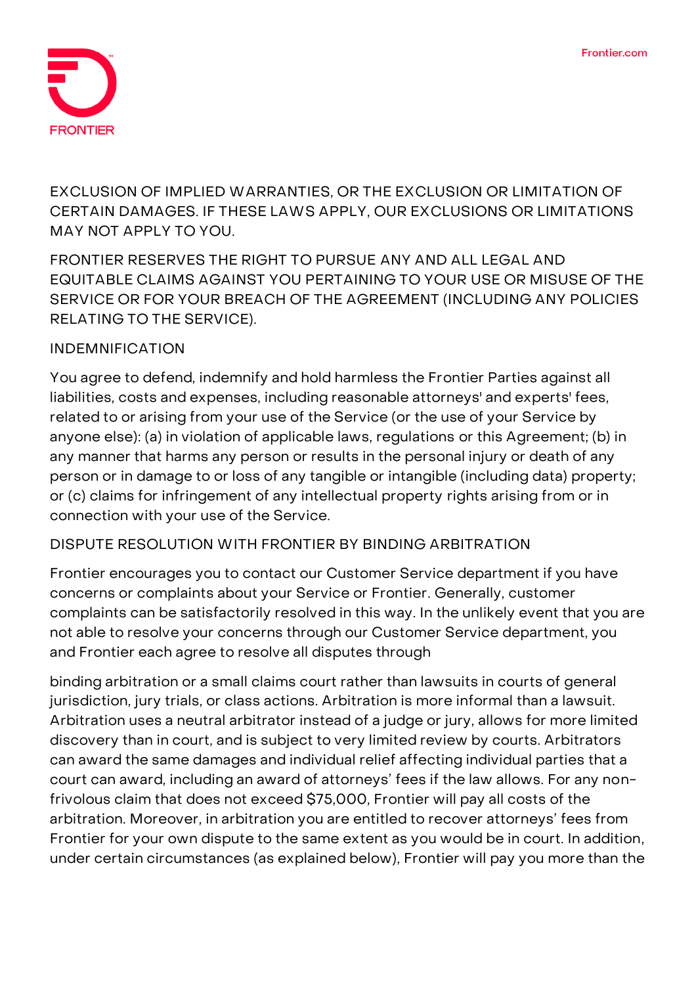

**EXCLUSION OF IMPLIED WARRANTIES, OR THE EXCLUSION OR LIMITATION OF CERTAIN DAMAGES. IF THESE LAWS APPLY, OUR EXCLUSIONS OR LIMITATIONS MAY NOT APPLY TO YOU.**

**FRONTIER RESERVES THE RIGHT TO PURSUE ANY AND ALL LEGAL AND EQUITABLE CLAIMS AGAINST YOU PERTAINING TO YOUR USE OR MISUSE OF THE SERVICE OR FOR YOUR BREACH OF THE AGREEMENT (INCLUDING ANY POLICIES RELATING TO THE SERVICE).**

### **INDEMNIFICATION**

You agree to defend, indemnify and hold harmless the Frontier Parties against all liabilities, costs and expenses, including reasonable attorneys' and experts' fees, related to or arising from your use of the Service (or the use of your Service by anyone else): (a) in violation of applicable laws, regulations or this Agreement; (b) in any manner that harms any person or results in the personal injury or death of any person or in damage to or loss of any tangible or intangible (including data) property; or (c) claims for infringement of any intellectual property rights arising from or in connection with your use of the Service.

#### **DISPUTE RESOLUTION WITH FRONTIER BY BINDING ARBITRATION**

Frontier encourages you to contact our Customer Service department if you have concerns or complaints about your Service or Frontier. Generally, customer complaints can be satisfactorily resolved in this way. In the unlikely event that you are not able to resolve your concerns through our Customer Service department, you and Frontier each agree to resolve all disputes through

binding arbitration or a small claims court rather than lawsuits in courts of general jurisdiction, jury trials, or class actions. Arbitration is more informal than a lawsuit. Arbitration uses a neutral arbitrator instead of a judge or jury, allows for more limited discovery than in court, and is subject to very limited review by courts. Arbitrators can award the same damages and individual relief affecting individual parties that a court can award, including an award of attorneys' fees if the law allows. For any nonfrivolous claim that does not exceed \$75,000, Frontier will pay all costs of the arbitration. Moreover, in arbitration you are entitled to recover attorneys' fees from Frontier for your own dispute to the same extent as you would be in court. In addition, under certain circumstances (as explained below), Frontier will pay you more than the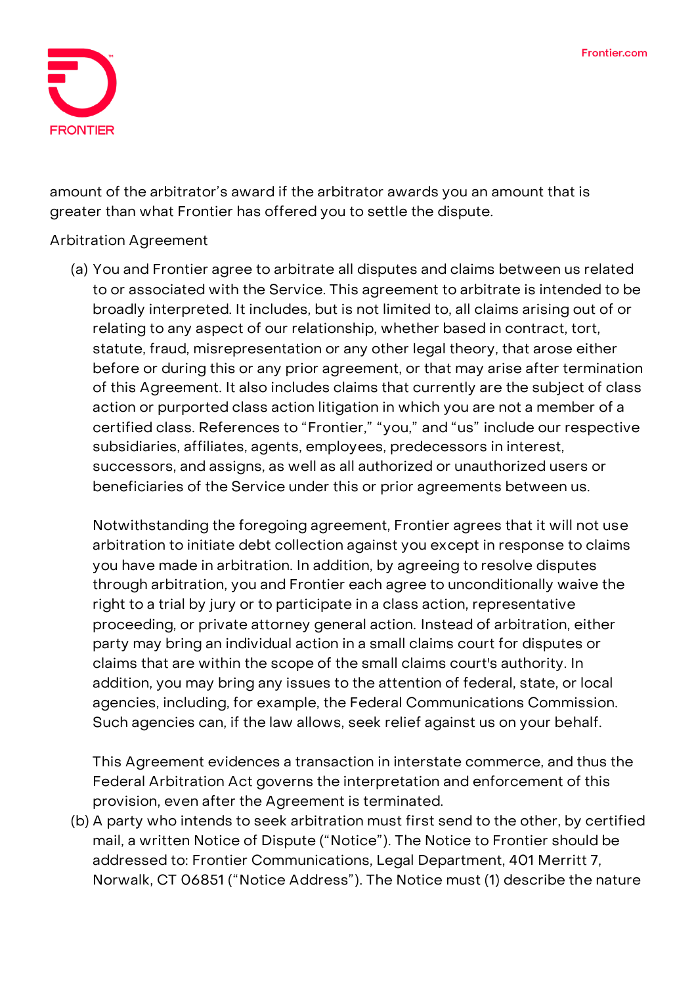

amount of the arbitrator's award if the arbitrator awards you an amount that is greater than what Frontier has offered you to settle the dispute.

### **Arbitration Agreement**

(a) You and Frontier agree to arbitrate **all disputes and claims** between us related to or associated with the Service. This agreement to arbitrate is intended to be broadly interpreted. It includes, but is not limited to, all claims arising out of or relating to any aspect of our relationship, whether based in contract, tort, statute, fraud, misrepresentation or any other legal theory, that arose either before or during this or any prior agreement, or that may arise after termination of this Agreement. It also includes claims that currently are the subject of class action or purported class action litigation in which you are not a member of a certified class. References to "Frontier," "you," and "us" include our respective subsidiaries, affiliates, agents, employees, predecessors in interest, successors, and assigns, as well as all authorized or unauthorized users or beneficiaries of the Service under this or prior agreements between us.

Notwithstanding the foregoing agreement, Frontier agrees that it will not use arbitration to initiate debt collection against you except in response to claims you have made in arbitration. In addition, by agreeing to resolve disputes through arbitration, **you and Frontier each agree to unconditionally waive the right to a trial by jury or to participate in a class action, representative proceeding, or private attorney general action.** Instead of arbitration, either party may bring an individual action in a small claims court for disputes or claims that are within the scope of the small claims court's authority. In addition, you may bring any issues to the attention of federal, state, or local agencies, including, for example, the Federal Communications Commission. Such agencies can, if the law allows, seek relief against us on your behalf.

This Agreement evidences a transaction in interstate commerce, and thus the Federal Arbitration Act governs the interpretation and enforcement of this provision, even after the Agreement is terminated.

(b) A party who intends to seek arbitration must first send to the other, by certified mail, a written Notice of Dispute ("Notice"). The Notice to Frontier should be addressed to: Frontier Communications, Legal Department, 401 Merritt 7, Norwalk, CT 06851 ("Notice Address"). The Notice must (1) describe the nature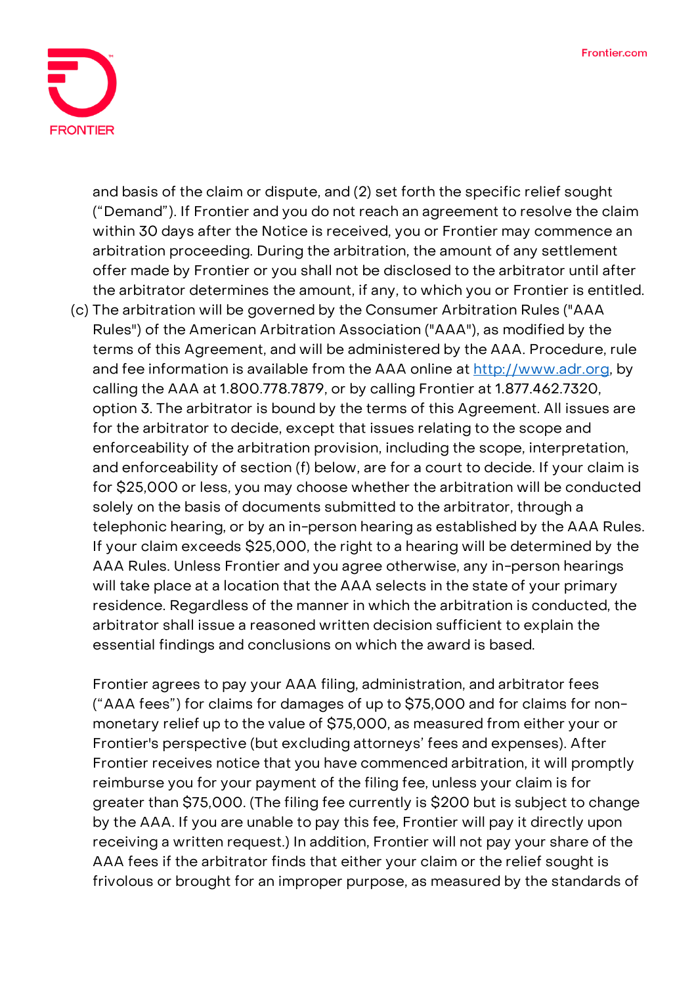

and basis of the claim or dispute, and (2) set forth the specific relief sought ("Demand"). If Frontier and you do not reach an agreement to resolve the claim within 30 days after the Notice is received, you or Frontier may commence an arbitration proceeding. During the arbitration, the amount of any settlement offer made by Frontier or you shall not be disclosed to the arbitrator until after the arbitrator determines the amount, if any, to which you or Frontier is entitled.

(c) The arbitration will be governed by the Consumer Arbitration Rules ("AAA Rules") of the American Arbitration Association ("AAA"), as modified by the terms of this Agreement, and will be administered by the AAA. Procedure, rule and fee information is available from the AAA online at [http://www.adr.org,](http://www.adr.org/) by calling the AAA at 1.800.778.7879, or by calling Frontier at 1.877.462.7320, option 3. The arbitrator is bound by the terms of this Agreement. All issues are for the arbitrator to decide, except that issues relating to the scope and enforceability of the arbitration provision, including the scope, interpretation, and enforceability of section (f) below, are for a court to decide. If your claim is for \$25,000 or less, you may choose whether the arbitration will be conducted solely on the basis of documents submitted to the arbitrator, through a telephonic hearing, or by an in-person hearing as established by the AAA Rules. If your claim exceeds \$25,000, the right to a hearing will be determined by the AAA Rules. Unless Frontier and you agree otherwise, any in-person hearings will take place at a location that the AAA selects in the state of your primary residence. Regardless of the manner in which the arbitration is conducted, the arbitrator shall issue a reasoned written decision sufficient to explain the essential findings and conclusions on which the award is based.

Frontier agrees to pay your AAA filing, administration, and arbitrator fees ("AAA fees") for claims for damages of up to \$75,000 and for claims for nonmonetary relief up to the value of \$75,000, as measured from either your or Frontier's perspective (but excluding attorneys' fees and expenses). After Frontier receives notice that you have commenced arbitration, it will promptly reimburse you for your payment of the filing fee, unless your claim is for greater than \$75,000. (The filing fee currently is \$200 but is subject to change by the AAA. If you are unable to pay this fee, Frontier will pay it directly upon receiving a written request.) In addition, Frontier will not pay your share of the AAA fees if the arbitrator finds that either your claim or the relief sought is frivolous or brought for an improper purpose, as measured by the standards of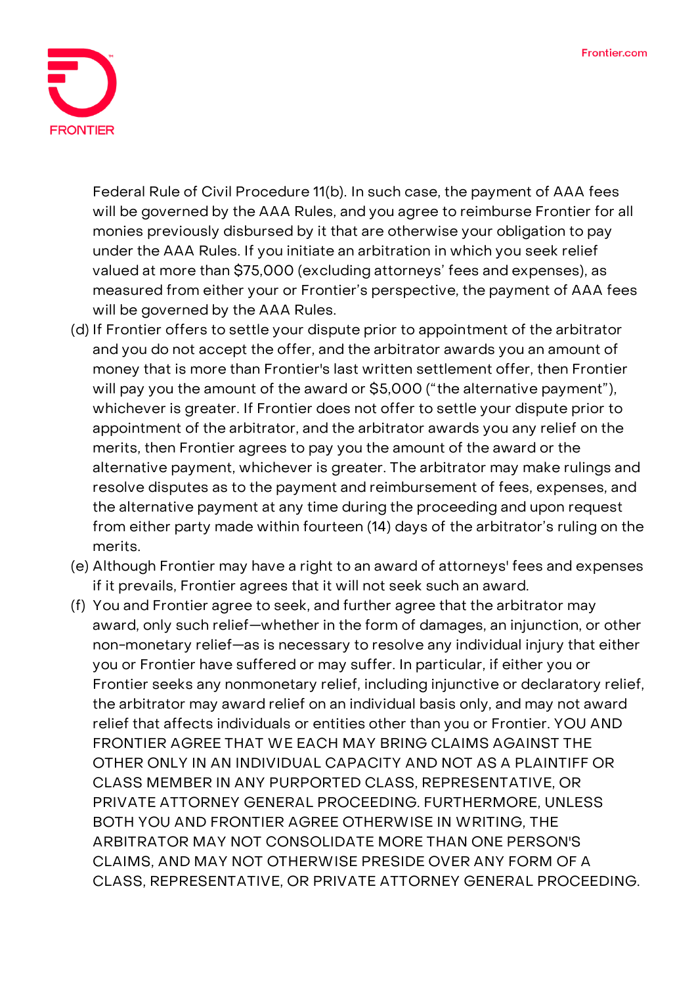

Federal Rule of Civil Procedure 11(b). In such case, the payment of AAA fees will be governed by the AAA Rules, and you agree to reimburse Frontier for all monies previously disbursed by it that are otherwise your obligation to pay under the AAA Rules. If you initiate an arbitration in which you seek relief valued at more than \$75,000 (excluding attorneys' fees and expenses), as measured from either your or Frontier's perspective, the payment of AAA fees will be governed by the AAA Rules.

- (d) If Frontier offers to settle your dispute prior to appointment of the arbitrator and you do not accept the offer, and the arbitrator awards you an amount of money that is more than Frontier's last written settlement offer, then Frontier will pay you the amount of the award or \$5,000 ("the alternative payment"), whichever is greater. If Frontier does not offer to settle your dispute prior to appointment of the arbitrator, and the arbitrator awards you any relief on the merits, then Frontier agrees to pay you the amount of the award or the alternative payment, whichever is greater. The arbitrator may make rulings and resolve disputes as to the payment and reimbursement of fees, expenses, and the alternative payment at any time during the proceeding and upon request from either party made within fourteen (14) days of the arbitrator's ruling on the merits.
- (e) Although Frontier may have a right to an award of attorneys' fees and expenses if it prevails, Frontier agrees that it will not seek such an award.
- (f) You and Frontier agree to seek, and further agree that the arbitrator may award, only such relief—whether in the form of damages, an injunction, or other non-monetary relief—as is necessary to resolve any individual injury that either you or Frontier have suffered or may suffer. In particular, if either you or Frontier seeks any nonmonetary relief, including injunctive or declaratory relief, the arbitrator may award relief on an individual basis only, and may not award relief that affects individuals or entities other than you or Frontier. YOU AND FRONTIER AGREE THAT WE EACH MAY BRING CLAIMS AGAINST THE OTHER ONLY IN AN INDIVIDUAL CAPACITY AND NOT AS A PLAINTIFF OR CLASS MEMBER IN ANY PURPORTED CLASS, REPRESENTATIVE, OR PRIVATE ATTORNEY GENERAL PROCEEDING. FURTHERMORE, UNLESS BOTH YOU AND FRONTIER AGREE OTHERWISE IN WRITING, THE ARBITRATOR MAY NOT CONSOLIDATE MORE THAN ONE PERSON'S CLAIMS, AND MAY NOT OTHERWISE PRESIDE OVER ANY FORM OF A CLASS, REPRESENTATIVE, OR PRIVATE ATTORNEY GENERAL PROCEEDING.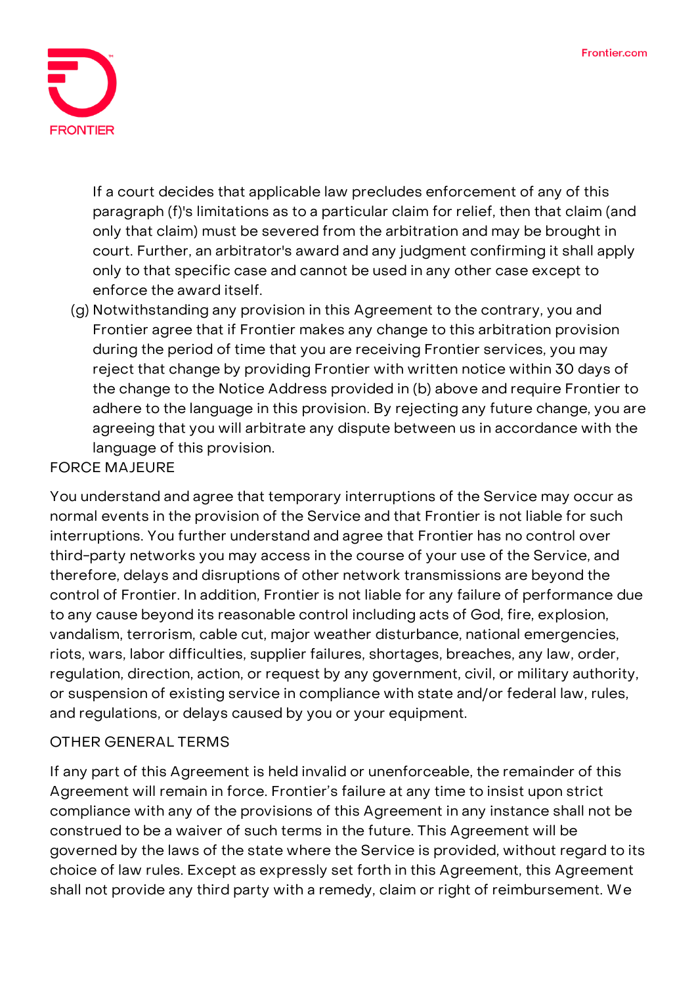

If a court decides that applicable law precludes enforcement of any of this paragraph (f)'s limitations as to a particular claim for relief, then that claim (and only that claim) must be severed from the arbitration and may be brought in court. Further, an arbitrator's award and any judgment confirming it shall apply only to that specific case and cannot be used in any other case except to enforce the award itself.

(g) Notwithstanding any provision in this Agreement to the contrary, you and Frontier agree that if Frontier makes any change to this arbitration provision during the period of time that you are receiving Frontier services, you may reject that change by providing Frontier with written notice within 30 days of the change to the Notice Address provided in (b) above and require Frontier to adhere to the language in this provision. By rejecting any future change, you are agreeing that you will arbitrate any dispute between us in accordance with the language of this provision.

# **FORCE MAJEURE**

You understand and agree that temporary interruptions of the Service may occur as normal events in the provision of the Service and that Frontier is not liable for such interruptions. You further understand and agree that Frontier has no control over third-party networks you may access in the course of your use of the Service, and therefore, delays and disruptions of other network transmissions are beyond the control of Frontier. In addition, Frontier is not liable for any failure of performance due to any cause beyond its reasonable control including acts of God, fire, explosion, vandalism, terrorism, cable cut, major weather disturbance, national emergencies, riots, wars, labor difficulties, supplier failures, shortages, breaches, any law, order, regulation, direction, action, or request by any government, civil, or military authority, or suspension of existing service in compliance with state and/or federal law, rules, and regulations, or delays caused by you or your equipment.

# **OTHER GENERAL TERMS**

If any part of this Agreement is held invalid or unenforceable, the remainder of this Agreement will remain in force. Frontier's failure at any time to insist upon strict compliance with any of the provisions of this Agreement in any instance shall not be construed to be a waiver of such terms in the future. This Agreement will be governed by the laws of the state where the Service is provided, without regard to its choice of law rules. Except as expressly set forth in this Agreement, this Agreement shall not provide any third party with a remedy, claim or right of reimbursement. We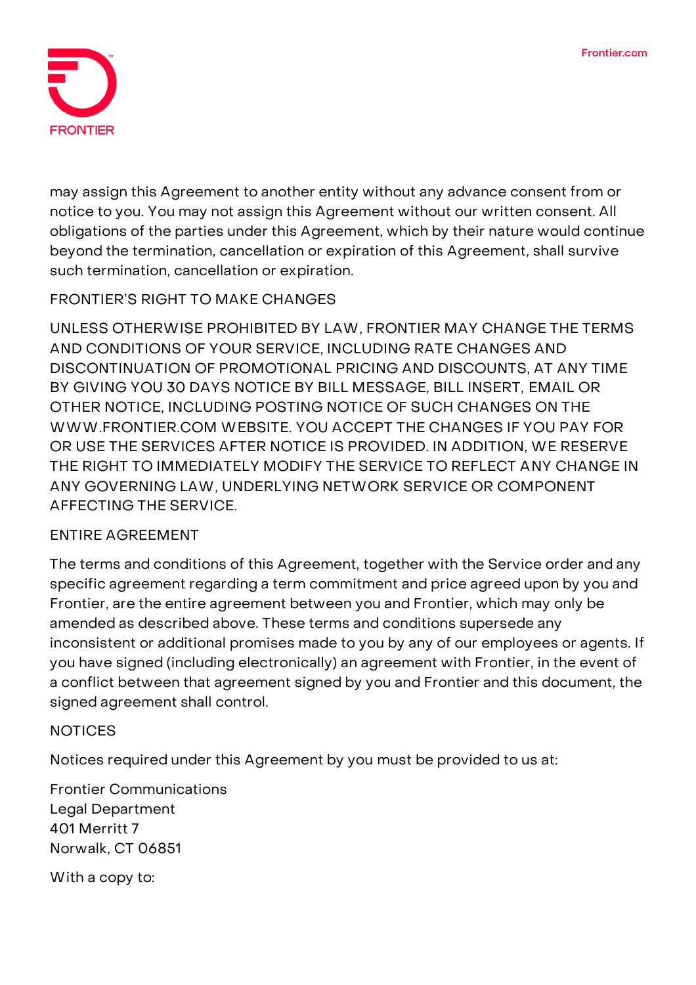

may assign this Agreement to another entity without any advance consent from or notice to you. You may not assign this Agreement without our written consent. All obligations of the parties under this Agreement, which by their nature would continue beyond the termination, cancellation or expiration of this Agreement, shall survive such termination, cancellation or expiration.

# **FRONTIER'S RIGHT TO MAKE CHANGES**

UNLESS OTHERWISE PROHIBITED BY LAW, FRONTIER MAY CHANGE THE TERMS AND CONDITIONS OF YOUR SERVICE, INCLUDING RATE CHANGES AND DISCONTINUATION OF PROMOTIONAL PRICING AND DISCOUNTS, AT ANY TIME BY GIVING YOU 30 DAYS NOTICE BY BILL MESSAGE, BILL INSERT, EMAIL OR OTHER NOTICE, INCLUDING POSTING NOTICE OF SUCH CHANGES ON THE WWW.FRONTIER.COM WEBSITE. YOU ACCEPT THE CHANGES IF YOU PAY FOR OR USE THE SERVICES AFTER NOTICE IS PROVIDED. IN ADDITION, WE RESERVE THE RIGHT TO IMMEDIATELY MODIFY THE SERVICE TO REFLECT ANY CHANGE IN ANY GOVERNING LAW, UNDERLYING NETWORK SERVICE OR COMPONENT AFFECTING THE SERVICE.

# **ENTIRE AGREEMENT**

The terms and conditions of this Agreement, together with the Service order and any specific agreement regarding a term commitment and price agreed upon by you and Frontier, are the entire agreement between you and Frontier, which may only be amended as described above. These terms and conditions supersede any inconsistent or additional promises made to you by any of our employees or agents. If you have signed (including electronically) an agreement with Frontier, in the event of a conflict between that agreement signed by you and Frontier and this document, the signed agreement shall control.

# **NOTICES**

Notices required under this Agreement by you must be provided to us at:

**Frontier Communications Legal Department 401 Merritt 7 Norwalk, CT 06851** With a copy to: